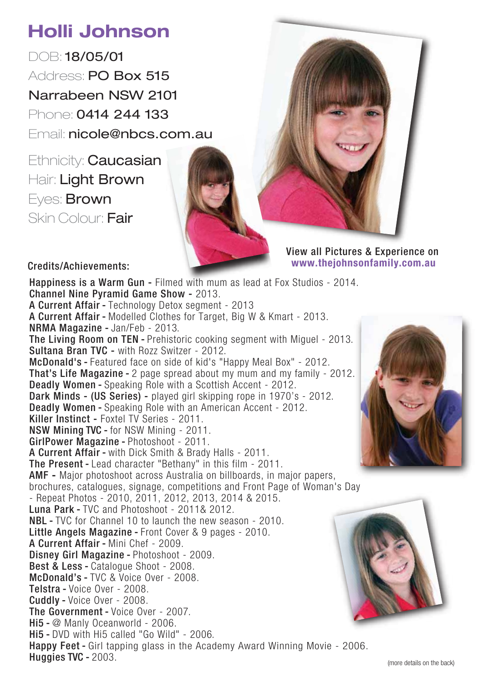## **Holli Johnson**

DOB: 18/05/01 Address: PO Box 515 Narrabeen NSW 2101 Phone: 0414 244 133 Email: nicole@nbcs.com.au

Ethnicity: **Caucasian** Hair: Light Brown Eyes: Brown Skin Colour: Fair



View all Pictures & Experience on **www.thejohnsonfamily.com.au**

Credits/Achievements:

Happiness is a Warm Gun - Filmed with mum as lead at Fox Studios - 2014. Channel Nine Pyramid Game Show - 2013. A Current Affair - Technology Detox segment - 2013 A Current Affair - Modelled Clothes for Target, Big W & Kmart - 2013. NRMA Magazine - Jan/Feb - 2013. The Living Room on TEN - Prehistoric cooking segment with Miguel - 2013. Sultana Bran TVC - with Rozz Switzer - 2012. McDonald's - Featured face on side of kid's "Happy Meal Box" - 2012. That's Life Magazine - 2 page spread about my mum and my family - 2012. Deadly Women - Speaking Role with a Scottish Accent - 2012. Dark Minds - (US Series) - played girl skipping rope in 1970's - 2012. Deadly Women - Speaking Role with an American Accent - 2012. Killer Instinct - Foxtel TV Series - 2011. NSW Mining TVC - for NSW Mining - 2011. GirlPower Magazine - Photoshoot - 2011. A Current Affair - with Dick Smith & Brady Halls - 2011. The Present - Lead character "Bethany" in this film - 2011. AMF **-** Major photoshoot across Australia on billboards, in major papers, brochures, catalogues, signage, competitions and Front Page of Woman's Day - Repeat Photos - 2010, 2011, 2012, 2013, 2014 & 2015. Luna Park - TVC and Photoshoot - 2011& 2012. NBL - TVC for Channel 10 to launch the new season - 2010. Little Angels Magazine - Front Cover & 9 pages - 2010. A Current Affair - Mini Chef - 2009. Disney Girl Magazine - Photoshoot - 2009. Best & Less - Catalogue Shoot - 2008. McDonald's - TVC & Voice Over - 2008. Telstra - Voice Over - 2008. Cuddly - Voice Over - 2008. The Government - Voice Over - 2007. Hi5 - @ Manly Oceanworld - 2006. Hi5 - DVD with Hi5 called "Go Wild" - 2006. Happy Feet - Girl tapping glass in the Academy Award Winning Movie - 2006. Huggies TVC - 2003.